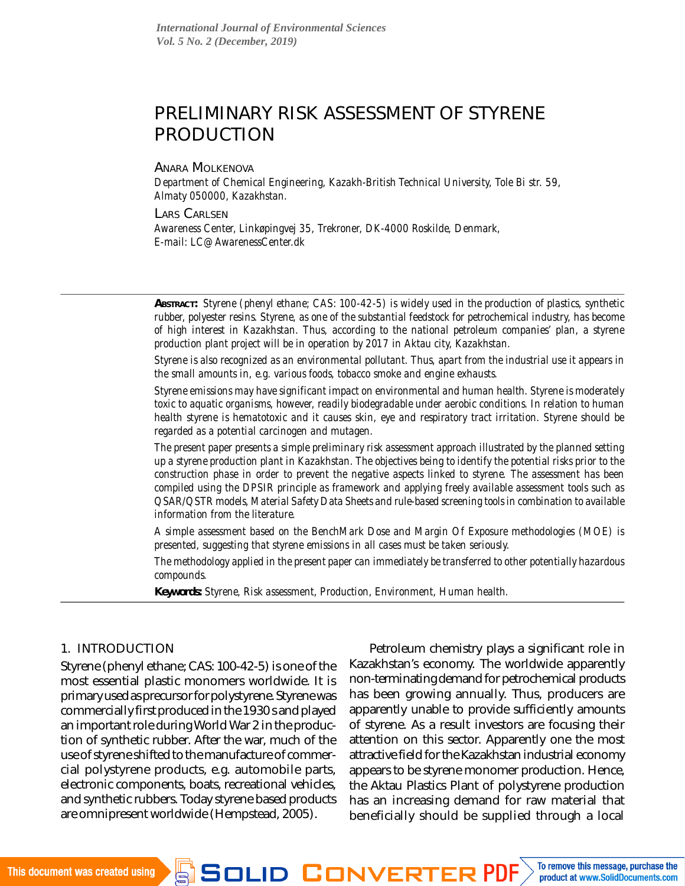# PRELIMINARY RISK ASSESSMENT OF STYRENE PRODUCTION

#### ANARA MOLKENOVA

*Department of Chemical Engineering, Kazakh-British Technical University, Tole Bi str. 59, Almaty 050000, Kazakhstan.*

LARS CARLSEN

*Awareness Center, Linkøpingvej 35, Trekroner, DK-4000 Roskilde, Denmark, E-mail: [LC@AwarenessCenter.dk](mailto:LC@AwarenessCenter.dk)*

*ABSTRACT: Styrene (phenyl ethane; CAS: 100-42-5) is widely used in the production of plastics, synthetic rubber, polyester resins. Styrene, as one of the substantial feedstock for petrochemical industry, has become of high interest in Kazakhstan. Thus, according to the national petroleum companies' plan, a styrene production plant project will be in operation by 2017 in Aktau city, Kazakhstan.*

*Styrene is also recognized as an environmental pollutant. Thus, apart from the industrial use it appears in the small amounts in, e.g. various foods, tobacco smoke and engine exhausts.*

*Styrene emissions may have significant impact on environmental and human health. Styrene is moderately toxic to aquatic organisms, however, readily biodegradable under aerobic conditions. In relation to human health styrene is hematotoxic and it causes skin, eye and respiratory tract irritation. Styrene should be regarded as a potential carcinogen and mutagen.*

*The present paper presents a simple preliminary risk assessment approach illustrated by the planned setting up a styrene production plant in Kazakhstan. The objectives being to identify the potential risks prior to the construction phase in order to prevent the negative aspects linked to styrene. The assessment has been compiled using the DPSIR principle as framework and applying freely available assessment tools such as QSAR/QSTR models, Material Safety Data Sheets and rule-based screening tools in combination to available information from the literature.*

*A simple assessment based on the BenchMark Dose and Margin Of Exposure methodologies (MOE) is presented, suggesting that styrene emissions in all cases must be taken seriously.*

*The methodology applied in the present paper can immediately be transferred to other potentially hazardous compounds.*

*Keywords: Styrene, Risk assessment, Production, Environment, Human health.*

### 1. INTRODUCTION

Styrene (phenyl ethane; CAS: 100-42-5) is one of the most essential plastic monomers worldwide. It is primary used as precursor for polystyrene. Styrene was commercially first produced in the 1930 s and played an important role during World War 2 in the production of synthetic rubber. After the war, much of the use of styrene shifted to the manufacture of commercial polystyrene products, e.g. automobile parts, electronic components, boats, recreational vehicles, and synthetic rubbers. Today styrene based products are omnipresent worldwide (Hempstead, 2005).

Petroleum chemistry plays a significant role in Kazakhstan's economy. The worldwide apparently non-terminating demand for petrochemical products has been growing annually. Thus, producers are apparently unable to provide sufficiently amounts of styrene. As a result investors are focusing their attention on this sector. Apparently one the most attractive field for the Kazakhstan industrial economy appears to be styrene monomer production. Hence, the Aktau Plastics Plant of polystyrene production has an increasing demand for raw material that beneficially should be supplied through a local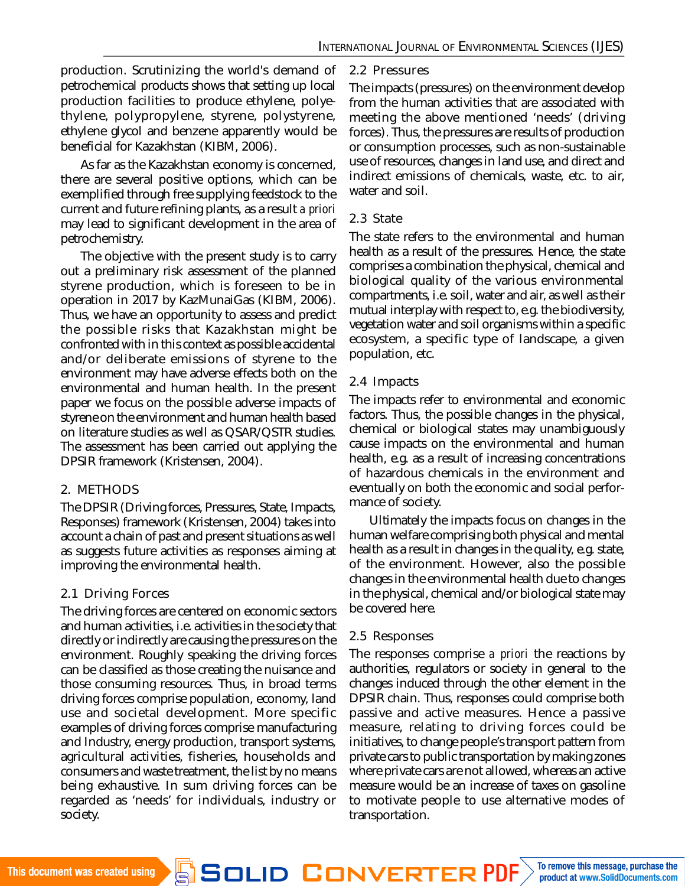production. Scrutinizing the world's demand of petrochemical products shows that setting up local production facilities to produce ethylene, polyethylene, polypropylene, styrene, polystyrene, ethylene glycol and benzene apparently would be beneficial for Kazakhstan (KIBM, 2006).

As far as the Kazakhstan economy is concerned, there are several positive options, which can be exemplified through free supplying feedstock to the current and future refining plants, as a result *a priori* may lead to significant development in the area of petrochemistry.

The objective with the present study is to carry out a preliminary risk assessment of the planned styrene production, which is foreseen to be in operation in 2017 by KazMunaiGas (KIBM, 2006). Thus, we have an opportunity to assess and predict the possible risks that Kazakhstan might be confronted with in this context as possible accidental and/or deliberate emissions of styrene to the environment may have adverse effects both on the environmental and human health. In the present paper we focus on the possible adverse impacts of styrene on the environment and human health based on literature studies as well as QSAR/QSTR studies. The assessment has been carried out applying the DPSIR framework (Kristensen, 2004).

### 2. METHODS

The DPSIR (Driving forces, Pressures, State, Impacts, Responses) framework (Kristensen, 2004) takes into account a chain of past and present situations as well as suggests future activities as responses aiming at improving the environmental health.

# 2.1 Driving Forces

The driving forces are centered on economic sectors and human activities, i.e. activities in the society that directly or indirectly are causing the pressures on the environment. Roughly speaking the driving forces can be classified as those creating the nuisance and those consuming resources. Thus, in broad terms driving forces comprise population, economy, land use and societal development. More specific examples of driving forces comprise manufacturing and Industry, energy production, transport systems, agricultural activities, fisheries, households and consumers and waste treatment, the list by no means being exhaustive. In sum driving forces can be regarded as 'needs' for individuals, industry or society.

### 2.2 Pressures

The impacts (pressures) on the environment develop from the human activities that are associated with meeting the above mentioned 'needs' (driving forces). Thus, the pressures are results of production or consumption processes, such as non-sustainable use of resources, changes in land use, and direct and indirect emissions of chemicals, waste, etc. to air, water and soil.

### 2.3 State

The state refers to the environmental and human health as a result of the pressures. Hence, the state comprises a combination the physical, chemical and biological quality of the various environmental compartments, i.e. soil, water and air, as well as their mutual interplay with respect to, e.g. the biodiversity, vegetation water and soil organisms within a specific ecosystem, a specific type of landscape, a given population, etc.

### 2.4 Impacts

The impacts refer to environmental and economic factors. Thus, the possible changes in the physical, chemical or biological states may unambiguously cause impacts on the environmental and human health, e.g. as a result of increasing concentrations of hazardous chemicals in the environment and eventually on both the economic and social performance of society.

Ultimately the impacts focus on changes in the human welfare comprising both physical and mental health as a result in changes in the quality, e.g. state, of the environment. However, also the possible changes in the environmental health due to changes in the physical, chemical and/or biological state may be covered here.

### 2.5 Responses

The responses comprise *a priori* the reactions by authorities, regulators or society in general to the changes induced through the other element in the DPSIR chain. Thus, responses could comprise both passive and active measures. Hence a passive measure, relating to driving forces could be initiatives, to change people's transport pattern from private cars to public transportation by making zones where private cars are not allowed, whereas an active measure would be an increase of taxes on gasoline to motivate people to use alternative modes of transportation.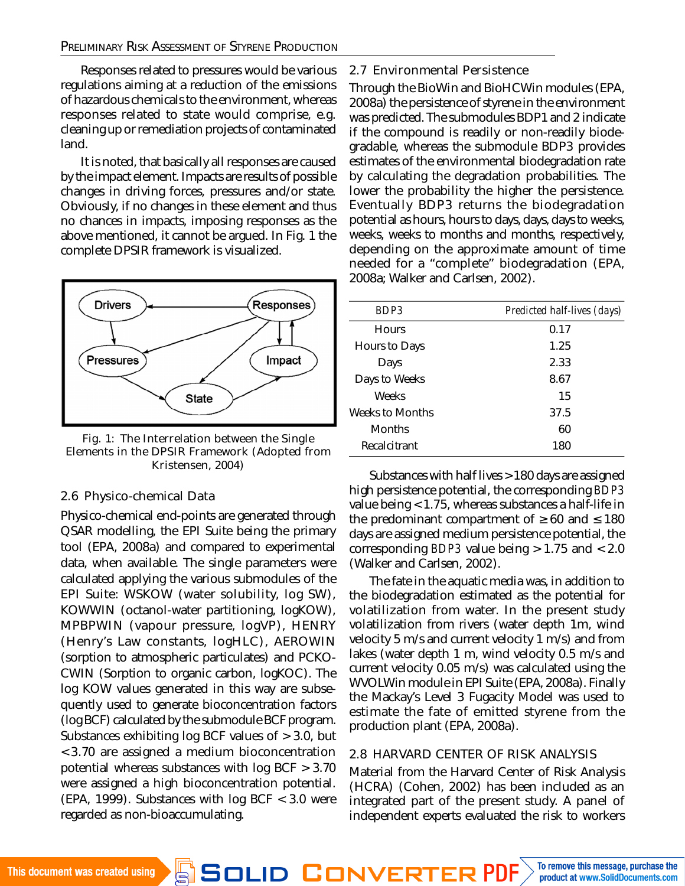#### PRELIMINARY RISK ASSESSMENT OF STYRENE PRODUCTION

Responses related to pressures would be various regulations aiming at a reduction of the emissions of hazardous chemicals to the environment, whereas responses related to state would comprise, e.g. cleaning up or remediation projects of contaminated land.

It is noted, that basically all responses are caused by the impact element. Impacts are results of possible changes in driving forces, pressures and/or state. Obviously, if no changes in these element and thus no chances in impacts, imposing responses as the above mentioned, it cannot be argued. In Fig. 1 the complete DPSIR framework is visualized.



Fig. 1: The Interrelation between the Single Elements in the DPSIR Framework (Adopted from Kristensen, 2004)

#### 2.6 Physico-chemical Data

Physico-chemical end-points are generated through QSAR modelling, the EPI Suite being the primary tool (EPA, 2008a) and compared to experimental data, when available. The single parameters were calculated applying the various submodules of the EPI Suite: WSKOW (water solubility, log SW), KOWWIN (octanol-water partitioning, logKOW), MPBPWIN (vapour pressure, logVP), HENRY (Henry's Law constants, logHLC), AEROWIN (sorption to atmospheric particulates) and PCKO-CWIN (Sorption to organic carbon, logKOC). The log KOW values generated in this way are subsequently used to generate bioconcentration factors (log BCF) calculated by the submodule BCF program. Substances exhibiting log BCF values of > 3.0, but < 3.70 are assigned a medium bioconcentration potential whereas substances with log BCF > 3.70 were assigned a high bioconcentration potential. (EPA, 1999). Substances with log BCF < 3.0 were regarded as non-bioaccumulating.

2.7 Environmental Persistence

Through the BioWin and BioHCWin modules (EPA, 2008a) the persistence of styrene in the environment was predicted. The submodules BDP1 and 2 indicate if the compound is readily or non-readily biodegradable, whereas the submodule BDP3 provides estimates of the environmental biodegradation rate by calculating the degradation probabilities. The lower the probability the higher the persistence. Eventually BDP3 returns the biodegradation potential as hours, hours to days, days, days to weeks, weeks, weeks to months and months, respectively, depending on the approximate amount of time needed for a "complete" biodegradation (EPA, 2008a; Walker and Carlsen, 2002).

| BDP3            | Predicted half-lives (days) |
|-----------------|-----------------------------|
| <b>Hours</b>    | 0.17                        |
| Hours to Days   | 1.25                        |
| Days            | 2.33                        |
| Days to Weeks   | 8.67                        |
| Weeks           | 15                          |
| Weeks to Months | 37.5                        |
| <b>Months</b>   | 60                          |
| Recalcitrant    | 180                         |

Substances with half lives > 180 days are assigned high persistence potential, the corresponding *BDP3* value being < 1.75, whereas substances a half-life in the predominant compartment of  $\geq 60$  and  $\leq 180$ days are assigned medium persistence potential, the corresponding *BDP3* value being > 1.75 and < 2.0 (Walker and Carlsen, 2002).

The fate in the aquatic media was, in addition to the biodegradation estimated as the potential for volatilization from water. In the present study volatilization from rivers (water depth 1m, wind velocity 5 m/s and current velocity 1 m/s) and from lakes (water depth 1 m, wind velocity 0.5 m/s and current velocity 0.05 m/s) was calculated using the WVOLWin module in EPI Suite (EPA, 2008a). Finally the Mackay's Level 3 Fugacity Model was used to estimate the fate of emitted styrene from the production plant (EPA, 2008a).

#### 2.8 HARVARD CENTER OF RISK ANALYSIS

Material from the Harvard Center of Risk Analysis (HCRA) (Cohen, 2002) has been included as an integrated part of the present study. A panel of independent experts evaluated the risk to workers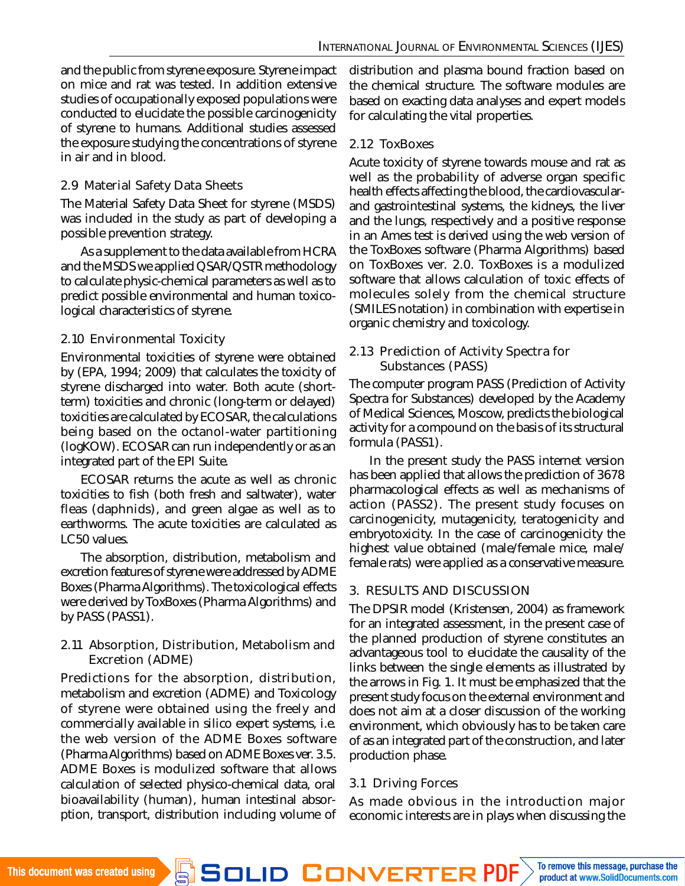and the public from styrene exposure. Styrene impact on mice and rat was tested. In addition extensive studies of occupationally exposed populations were conducted to elucidate the possible carcinogenicity of styrene to humans. Additional studies assessed the exposure studying the concentrations of styrene in air and in blood.

## 2.9 Material Safety Data Sheets

The Material Safety Data Sheet for styrene (MSDS) was included in the study as part of developing a possible prevention strategy.

As a supplement to the data available from HCRA and the MSDS we applied QSAR/QSTR methodology to calculate physic-chemical parameters as well as to predict possible environmental and human toxicological characteristics of styrene.

# 2.10 Environmental Toxicity

Environmental toxicities of styrene were obtained by (EPA, 1994; 2009) that calculates the toxicity of styrene discharged into water. Both acute (shortterm) toxicities and chronic (long-term or delayed) toxicities are calculated by ECOSAR, the calculations being based on the octanol-water partitioning (logKOW). ECOSAR can run independently or as an integrated part of the EPI Suite.

ECOSAR returns the acute as well as chronic toxicities to fish (both fresh and saltwater), water fleas (daphnids), and green algae as well as to earthworms. The acute toxicities are calculated as LC50 values.

The absorption, distribution, metabolism and excretion features of styrene were addressed by ADME Boxes (Pharma Algorithms). The toxicological effects were derived by ToxBoxes (Pharma Algorithms) and by PASS (PASS1).

### 2.11 Absorption, Distribution, Metabolism and Excretion (ADME)

Predictions for the absorption, distribution, metabolism and excretion (ADME) and Toxicology of styrene were obtained using the freely and commercially available in silico expert systems, i.e. the web version of the ADME Boxes software (Pharma Algorithms) based on ADME Boxes ver. 3.5. ADME Boxes is modulized software that allows calculation of selected physico-chemical data, oral bioavailability (human), human intestinal absorption, transport, distribution including volume of distribution and plasma bound fraction based on the chemical structure. The software modules are based on exacting data analyses and expert models for calculating the vital properties.

# 2.12 ToxBoxes

Acute toxicity of styrene towards mouse and rat as well as the probability of adverse organ specific health effects affecting the blood, the cardiovascularand gastrointestinal systems, the kidneys, the liver and the lungs, respectively and a positive response in an Ames test is derived using the web version of the ToxBoxes software (Pharma Algorithms) based on ToxBoxes ver. 2.0. ToxBoxes is a modulized software that allows calculation of toxic effects of molecules solely from the chemical structure (SMILES notation) in combination with expertise in organic chemistry and toxicology.

### 2.13 Prediction of Activity Spectra for Substances (PASS)

The computer program PASS (Prediction of Activity Spectra for Substances) developed by the Academy of Medical Sciences, Moscow, predicts the biological activity for a compound on the basis of its structural formula (PASS1).

In the present study the PASS internet version has been applied that allows the prediction of 3678 pharmacological effects as well as mechanisms of action (PASS2). The present study focuses on carcinogenicity, mutagenicity, teratogenicity and embryotoxicity. In the case of carcinogenicity the highest value obtained (male/female mice, male/ female rats) were applied as a conservative measure.

# 3. RESULTS AND DISCUSSION

The DPSIR model (Kristensen, 2004) as framework for an integrated assessment, in the present case of the planned production of styrene constitutes an advantageous tool to elucidate the causality of the links between the single elements as illustrated by the arrows in Fig. 1. It must be emphasized that the present study focus on the external environment and does not aim at a closer discussion of the working environment, which obviously has to be taken care of as an integrated part of the construction, and later production phase.

# 3.1 Driving Forces

As made obvious in the introduction major economic interests are in plays when discussing the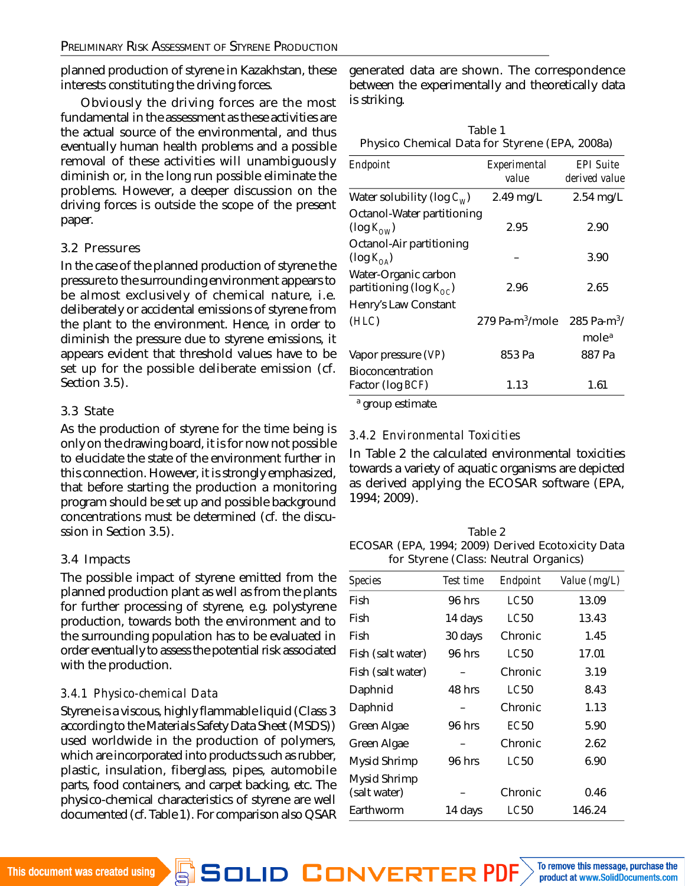planned production of styrene in Kazakhstan, these interests constituting the driving forces.

Obviously the driving forces are the most fundamental in the assessment as these activities are the actual source of the environmental, and thus eventually human health problems and a possible removal of these activities will unambiguously diminish or, in the long run possible eliminate the problems. However, a deeper discussion on the driving forces is outside the scope of the present paper.

#### 3.2 Pressures

In the case of the planned production of styrene the pressure to the surrounding environment appears to be almost exclusively of chemical nature, i.e. deliberately or accidental emissions of styrene from the plant to the environment. Hence, in order to diminish the pressure due to styrene emissions, it appears evident that threshold values have to be set up for the possible deliberate emission (cf. Section 3.5).

### 3.3 State

As the production of styrene for the time being is only on the drawing board, it is for now not possible to elucidate the state of the environment further in this connection. However, it is strongly emphasized, that before starting the production a monitoring program should be set up and possible background concentrations must be determined (cf. the discussion in Section 3.5).

### 3.4 Impacts

The possible impact of styrene emitted from the planned production plant as well as from the plants for further processing of styrene, e.g. polystyrene production, towards both the environment and to the surrounding population has to be evaluated in order eventually to assess the potential risk associated with the production.

### *3.4.1 Physico-chemical Data*

Styrene is a viscous, highly flammable liquid (Class 3 according to the Materials Safety Data Sheet (MSDS)) used worldwide in the production of polymers, which are incorporated into products such as rubber, plastic, insulation, fiberglass, pipes, automobile parts, food containers, and carpet backing, etc. The physico-chemical characteristics of styrene are well documented (cf. Table 1). For comparison also QSAR generated data are shown. The correspondence between the experimentally and theoretically data is striking.

|                                                | Table 1 |  |  |
|------------------------------------------------|---------|--|--|
| Physico Chemical Data for Styrene (EPA, 2008a) |         |  |  |

| Endpoint                                                   | Experimental<br>value       | <b>EPI Suite</b><br>derived value |  |
|------------------------------------------------------------|-----------------------------|-----------------------------------|--|
| Water solubility (log $C_{W}$ )                            | 2.49 mg/L                   | $2.54$ mg/L                       |  |
| Octanol-Water partitioning<br>$(log K_{\text{OM}})$        | 2.95                        | 2.90                              |  |
| Octanol-Air partitioning<br>$(\log K_{\Omega_{\rm A}})$    |                             | 3.90                              |  |
| Water-Organic carbon<br>partitioning (log $K_{\alpha c}$ ) | 2.96                        | 2.65                              |  |
| Henry's Law Constant                                       |                             |                                   |  |
| (HLC)                                                      | 279 Pa-m <sup>3</sup> /mole | 285 Pa-m <sup>3</sup> /           |  |
|                                                            |                             | mole <sup>a</sup>                 |  |
| Vapor pressure (VP)                                        | 853 Pa                      | 887 Pa                            |  |
| Bioconcentration<br>Factor (log BCF)                       | 1.13                        | 1.61                              |  |

a group estimate.

### *3.4.2 Environmental Toxicities*

In Table 2 the calculated environmental toxicities towards a variety of aquatic organisms are depicted as derived applying the ECOSAR software (EPA, 1994; 2009).

| Table 2                                           |
|---------------------------------------------------|
| ECOSAR (EPA, 1994; 2009) Derived Ecotoxicity Data |
| for Styrene (Class: Neutral Organics)             |

| Species           | Test time | Endpoint    | Value (mg/L) |
|-------------------|-----------|-------------|--------------|
|                   |           |             |              |
| Fish              | 96 hrs    | LC50        | 13.09        |
| Fish              | 14 days   | LC50        | 13.43        |
| Fish              | 30 days   | Chronic     | 1.45         |
| Fish (salt water) | 96 hrs    | LC50        | 17.01        |
| Fish (salt water) |           | Chronic     | 3.19         |
| Daphnid           | 48 hrs    | LC50        | 8.43         |
| Daphnid           |           | Chronic     | 1.13         |
| Green Algae       | 96 hrs    | EC50        | 5.90         |
| Green Algae       |           | Chronic     | 2.62         |
| Mysid Shrimp      | 96 hrs    | <b>LC50</b> | 6.90         |
| Mysid Shrimp      |           |             |              |
| (salt water)      |           | Chronic     | 0.46         |
| Earthworm         | 14 days   | LC50        | 146.24       |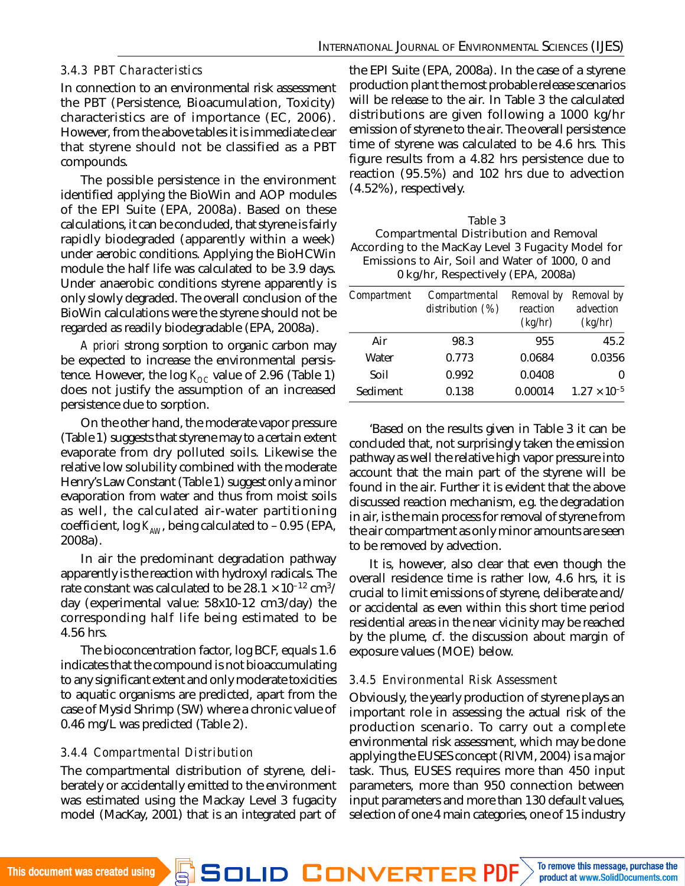### *3.4.3 PBT Characteristics*

In connection to an environmental risk assessment the PBT (Persistence, Bioacumulation, Toxicity) characteristics are of importance (EC, 2006). However, from the above tables it is immediate clear that styrene should not be classified as a PBT compounds.

The possible persistence in the environment identified applying the BioWin and AOP modules of the EPI Suite (EPA, 2008a). Based on these calculations, it can be concluded, that styrene is fairly rapidly biodegraded (apparently within a week) under aerobic conditions. Applying the BioHCWin module the half life was calculated to be 3.9 days. Under anaerobic conditions styrene apparently is only slowly degraded. The overall conclusion of the BioWin calculations were the styrene should not be regarded as readily biodegradable (EPA, 2008a).

*A priori* strong sorption to organic carbon may be expected to increase the environmental persistence. However, the log  $K_{\Omega}$  value of 2.96 (Table 1) does not justify the assumption of an increased persistence due to sorption.

On the other hand, the moderate vapor pressure (Table 1) suggests that styrene may to a certain extent evaporate from dry polluted soils. Likewise the relative low solubility combined with the moderate Henry's Law Constant (Table 1) suggest only a minor evaporation from water and thus from moist soils as well, the calculated air-water partitioning coefficient, log K<sub>AW</sub>, being calculated to -0.95 (EPA, 2008a).

In air the predominant degradation pathway apparently is the reaction with hydroxyl radicals. The rate constant was calculated to be 28.1  $\times$  10<sup>–12</sup> cm $^{3}\prime$ day (experimental value: 58x10-12 cm3/day) the corresponding half life being estimated to be 4.56 hrs.

The bioconcentration factor, log BCF, equals 1.6 indicates that the compound is not bioaccumulating to any significant extent and only moderate toxicities to aquatic organisms are predicted, apart from the case of Mysid Shrimp (SW) where a chronic value of 0.46 mg/L was predicted (Table 2).

### *3.4.4 Compartmental Distribution*

The compartmental distribution of styrene, deliberately or accidentally emitted to the environment was estimated using the Mackay Level 3 fugacity model (MacKay, 2001) that is an integrated part of the EPI Suite (EPA, 2008a). In the case of a styrene production plant the most probable release scenarios will be release to the air. In Table 3 the calculated distributions are given following a 1000 kg/hr emission of styrene to the air. The overall persistence time of styrene was calculated to be 4.6 hrs. This figure results from a 4.82 hrs persistence due to reaction (95.5%) and 102 hrs due to advection (4.52%), respectively.

| Table 3                                            |
|----------------------------------------------------|
| Compartmental Distribution and Removal             |
| According to the MacKay Level 3 Fugacity Model for |
| Emissions to Air, Soil and Water of 1000, 0 and    |
| 0 kg/hr, Respectively (EPA, 2008a)                 |

| Compartment | Compartmental<br>distribution (%) | Removal by<br>reaction<br>(kg/hr) | Removal by<br>advection<br>(kg/hr) |
|-------------|-----------------------------------|-----------------------------------|------------------------------------|
| Air         | 98.3                              | 955                               | 45.2                               |
| Water       | 0.773                             | 0.0684                            | 0.0356                             |
| Soil        | 0.992                             | 0.0408                            |                                    |
| Sediment    | 0.138                             | 0.00014                           | $1.27 \times 10^{-5}$              |

'Based on the results given in Table 3 it can be concluded that, not surprisingly taken the emission pathway as well the relative high vapor pressure into account that the main part of the styrene will be found in the air. Further it is evident that the above discussed reaction mechanism, e.g. the degradation in air, is the main process for removal of styrene from the air compartment as only minor amounts are seen to be removed by advection.

It is, however, also clear that even though the overall residence time is rather low, 4.6 hrs, it is crucial to limit emissions of styrene, deliberate and/ or accidental as even within this short time period residential areas in the near vicinity may be reached by the plume, cf. the discussion about margin of exposure values (MOE) below.

### *3.4.5 Environmental Risk Assessment*

Obviously, the yearly production of styrene plays an important role in assessing the actual risk of the production scenario. To carry out a complete environmental risk assessment, which may be done applying the EUSES concept (RIVM, 2004) is a major task. Thus, EUSES requires more than 450 input parameters, more than 950 connection between input parameters and more than 130 default values, selection of one 4 main categories, one of 15 industry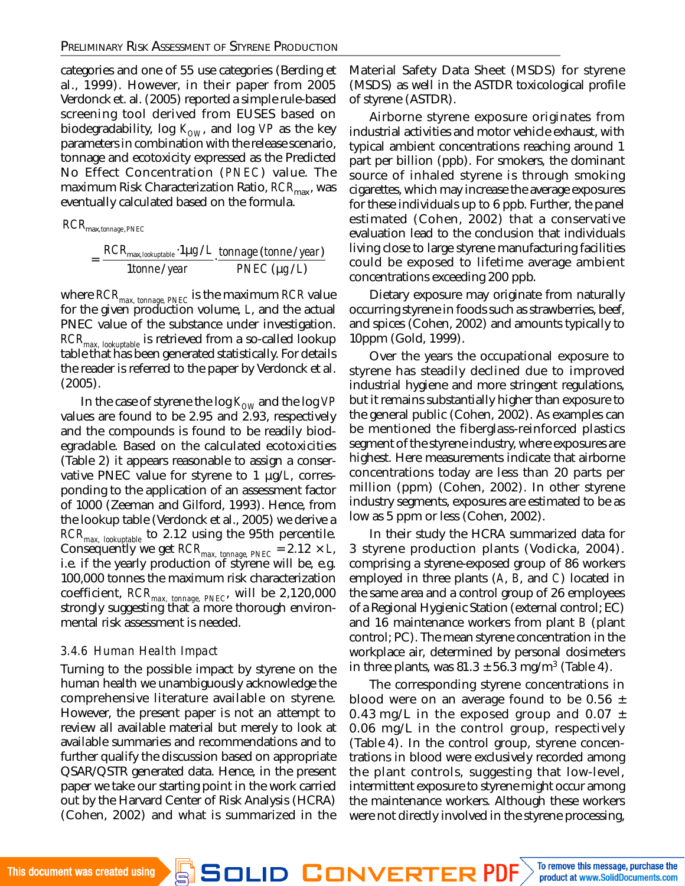categories and one of 55 use categories (Berding et al., 1999). However, in their paper from 2005 Verdonck et. al. (2005) reported a simple rule-based screening tool derived from EUSES based on biodegradability, log  $K_{\text{OM}}$ , and log VP as the key parameters in combination with the release scenario, tonnage and ecotoxicity expressed as the Predicted No Effect Concentration (*PNEC*) value. The maximum Risk Characterization Ratio, RCR<sub>max</sub>, was eventually calculated based on the formula.

$$
RCR_{\text{max},\text{tonnage},\text{PNEC}}
$$

$$
= \frac{RCR_{\text{max, lookuptable}} \cdot 1 \mu g / L}{1 \text{tonne} / \text{year}} \cdot \frac{\text{tonnage (tonne} / \text{year})}{\text{PNEC (µg} / L)}
$$

where *RCRmax, tonnage, PNEC* is the maximum *RCR* value for the given production volume, *L*, and the actual PNEC value of the substance under investigation. *RCRmax, lookuptable* is retrieved from a so-called lookup table that has been generated statistically. For details the reader is referred to the paper by Verdonck et al. (2005).

In the case of styrene the log K<sub>ow</sub> and the log VP values are found to be 2.95 and 2.93, respectively and the compounds is found to be readily biodegradable. Based on the calculated ecotoxicities (Table 2) it appears reasonable to assign a conservative PNEC value for styrene to 1 µg/*L*, corresponding to the application of an assessment factor of 1000 (Zeeman and Gilford, 1993). Hence, from the lookup table (Verdonck et al., 2005) we derive a *RCRmax, lookuptable* to 2.12 using the 95th percentile. Consequently we get *RCRmax, tonnage, PNEC* = 2.12 × *L*, i.e. if the yearly production of styrene will be, e.g. 100,000 tonnes the maximum risk characterization coefficient, *RCRmax, tonnage, PNEC*, will be 2,120,000 strongly suggesting that a more thorough environmental risk assessment is needed.

### *3.4.6 Human Health Impact*

Turning to the possible impact by styrene on the human health we unambiguously acknowledge the comprehensive literature available on styrene. However, the present paper is not an attempt to review all available material but merely to look at available summaries and recommendations and to further qualify the discussion based on appropriate QSAR/QSTR generated data. Hence, in the present paper we take our starting point in the work carried out by the Harvard Center of Risk Analysis (HCRA) (Cohen, 2002) and what is summarized in the Material Safety Data Sheet (MSDS) for styrene (MSDS) as well in the ASTDR toxicological profile of styrene (ASTDR).

Airborne styrene exposure originates from industrial activities and motor vehicle exhaust, with typical ambient concentrations reaching around 1 part per billion (ppb). For smokers, the dominant source of inhaled styrene is through smoking cigarettes, which may increase the average exposures for these individuals up to 6 ppb. Further, the panel estimated (Cohen, 2002) that a conservative evaluation lead to the conclusion that individuals living close to large styrene manufacturing facilities could be exposed to lifetime average ambient concentrations exceeding 200 ppb.

Dietary exposure may originate from naturally occurring styrene in foods such as strawberries, beef, and spices (Cohen, 2002) and amounts typically to 10ppm (Gold, 1999).

Over the years the occupational exposure to styrene has steadily declined due to improved industrial hygiene and more stringent regulations, but it remains substantially higher than exposure to the general public (Cohen, 2002). As examples can be mentioned the fiberglass-reinforced plastics segment of the styrene industry, where exposures are highest. Here measurements indicate that airborne concentrations today are less than 20 parts per million (ppm) (Cohen, 2002). In other styrene industry segments, exposures are estimated to be as low as 5 ppm or less (Cohen, 2002).

In their study the HCRA summarized data for 3 styrene production plants (Vodicka, 2004). comprising a styrene-exposed group of 86 workers employed in three plants (*A*, *B*, and *C*) located in the same area and a control group of 26 employees of a Regional Hygienic Station (external control; EC) and 16 maintenance workers from plant *B* (plant control; PC). The mean styrene concentration in the workplace air, determined by personal dosimeters in three plants, was  $81.3 \pm 56.3$  mg/m<sup>3</sup> (Table 4).

The corresponding styrene concentrations in blood were on an average found to be 0.56  $\pm$ 0.43 mg/L in the exposed group and 0.07  $\pm$ 0.06 mg/L in the control group, respectively (Table 4). In the control group, styrene concentrations in blood were exclusively recorded among the plant controls, suggesting that low-level, intermittent exposure to styrene might occur among the maintenance workers. Although these workers were not directly involved in the styrene processing,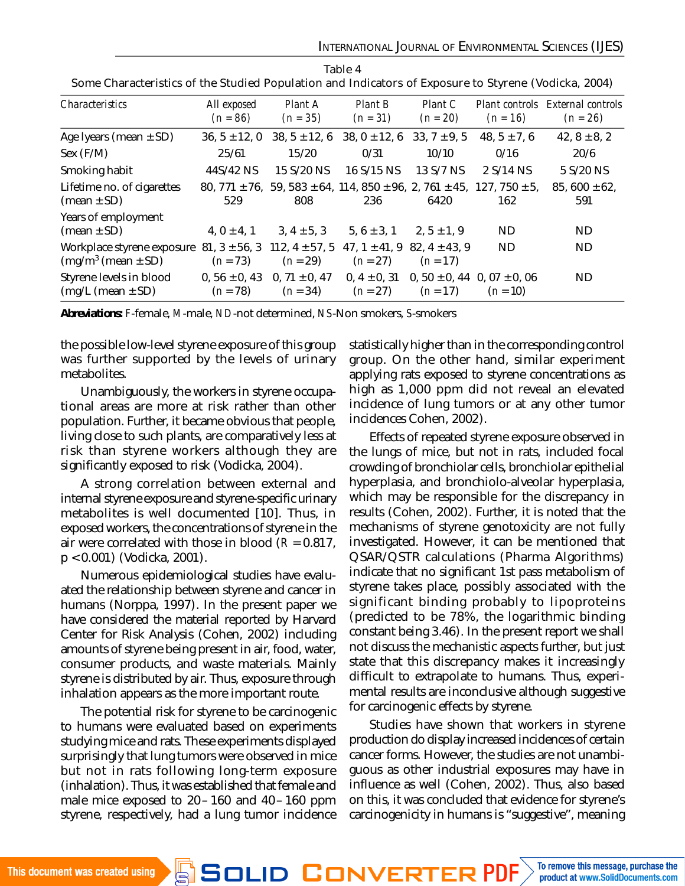| <b>Characteristics</b>                               | All exposed<br>$(n = 86)$        | Plant A<br>$(n = 35)$                                          | Plant B<br>$(n = 31)$           | Plant C<br>$(n = 20)$         | Plant controls<br>$(n = 16)$                       | External controls<br>$(n = 26)$ |
|------------------------------------------------------|----------------------------------|----------------------------------------------------------------|---------------------------------|-------------------------------|----------------------------------------------------|---------------------------------|
| Age Iyears (mean $\pm$ SD)                           | $36, 5 \pm 12, 0$                | $38, 5 \pm 12, 6$                                              | $38, 0 \pm 12, 6$               | $33, 7 \pm 9, 5$              | $48, 5 \pm 7, 6$                                   | $42, 8 \pm 8, 2$                |
| Sex $(F/M)$                                          | 25/61                            | 15/20                                                          | 0/31                            | 10/10                         | 0/16                                               | 20/6                            |
| Smoking habit                                        | 44S/42 NS                        | 15 S/20 NS                                                     | 16 S/15 NS                      | 13 S/7 NS                     | 2 S/14 NS                                          | 5 S/20 NS                       |
| Lifetime no. of cigarettes<br>(mean $\pm$ SD)        | 529                              | 80, 771 ± 76, 59, 583 ± 64, 114, 850 ± 96, 2, 761 ± 45,<br>808 | 236                             | 6420                          | $127,750 \pm 5,$<br>162                            | $85,600 \pm 62,$<br>591         |
| Years of employment<br>$(mean \pm SD)$               | $4, 0 \pm 4, 1$                  | $3, 4 \pm 5, 3$                                                | $5.6 \pm 3.1$                   | $2, 5 \pm 1, 9$               | ND.                                                | ND.                             |
| Workplace styrene exposure<br>$(mg/m3 (mean \pm SD)$ | $81, 3 \pm 56, 3$<br>$(n = 73)$  | 112, $4 \pm 57$ , 5<br>$(n = 29)$                              | $47.1 \pm 41.9$<br>$(n = 27)$   | $82.4 \pm 43.9$<br>$(n = 17)$ | ND.                                                | ND.                             |
| Styrene levels in blood<br>$(mg/L \ (mean \pm SD))$  | 0, $56 \pm 0$ , 43<br>$(n = 78)$ | 0, 71 $\pm$ 0, 47<br>$(n = 34)$                                | 0, $4 \pm 0$ , 31<br>$(n = 27)$ | $(n = 17)$                    | 0, $50 \pm 0$ , 44 0, 07 $\pm$ 0, 06<br>$(n = 10)$ | ND.                             |

Table 4 Some Characteristics of the Studied Population and Indicators of Exposure to Styrene (Vodicka, 2004)

*Abreviations: F*-female, *M*-male, *ND*-not determined, *NS*-Non smokers, *S*-smokers

the possible low-level styrene exposure of this group was further supported by the levels of urinary metabolites.

Unambiguously, the workers in styrene occupational areas are more at risk rather than other population. Further, it became obvious that people, living close to such plants, are comparatively less at risk than styrene workers although they are significantly exposed to risk (Vodicka, 2004).

A strong correlation between external and internal styrene exposure and styrene-specific urinary metabolites is well documented [10]. Thus, in exposed workers, the concentrations of styrene in the air were correlated with those in blood (*R* = 0.817, p < 0.001) (Vodicka, 2001).

Numerous epidemiological studies have evaluated the relationship between styrene and cancer in humans (Norppa, 1997). In the present paper we have considered the material reported by Harvard Center for Risk Analysis (Cohen, 2002) including amounts of styrene being present in air, food, water, consumer products, and waste materials. Mainly styrene is distributed by air. Thus, exposure through inhalation appears as the more important route.

The potential risk for styrene to be carcinogenic to humans were evaluated based on experiments studying mice and rats. These experiments displayed surprisingly that lung tumors were observed in mice but not in rats following long-term exposure (inhalation). Thus, it was established that female and male mice exposed to 20–160 and 40–160 ppm styrene, respectively, had a lung tumor incidence

statistically higher than in the corresponding control group. On the other hand, similar experiment applying rats exposed to styrene concentrations as high as 1,000 ppm did not reveal an elevated incidence of lung tumors or at any other tumor incidences Cohen, 2002).

Effects of repeated styrene exposure observed in the lungs of mice, but not in rats, included focal crowding of bronchiolar cells, bronchiolar epithelial hyperplasia, and bronchiolo-alveolar hyperplasia, which may be responsible for the discrepancy in results (Cohen, 2002). Further, it is noted that the mechanisms of styrene genotoxicity are not fully investigated. However, it can be mentioned that QSAR/QSTR calculations (Pharma Algorithms) indicate that no significant 1st pass metabolism of styrene takes place, possibly associated with the significant binding probably to lipoproteins (predicted to be 78%, the logarithmic binding constant being 3.46). In the present report we shall not discuss the mechanistic aspects further, but just state that this discrepancy makes it increasingly difficult to extrapolate to humans. Thus, experimental results are inconclusive although suggestive for carcinogenic effects by styrene.

Studies have shown that workers in styrene production do display increased incidences of certain cancer forms. However, the studies are not unambiguous as other industrial exposures may have in influence as well (Cohen, 2002). Thus, also based on this, it was concluded that evidence for styrene's carcinogenicity in humans is "suggestive", meaning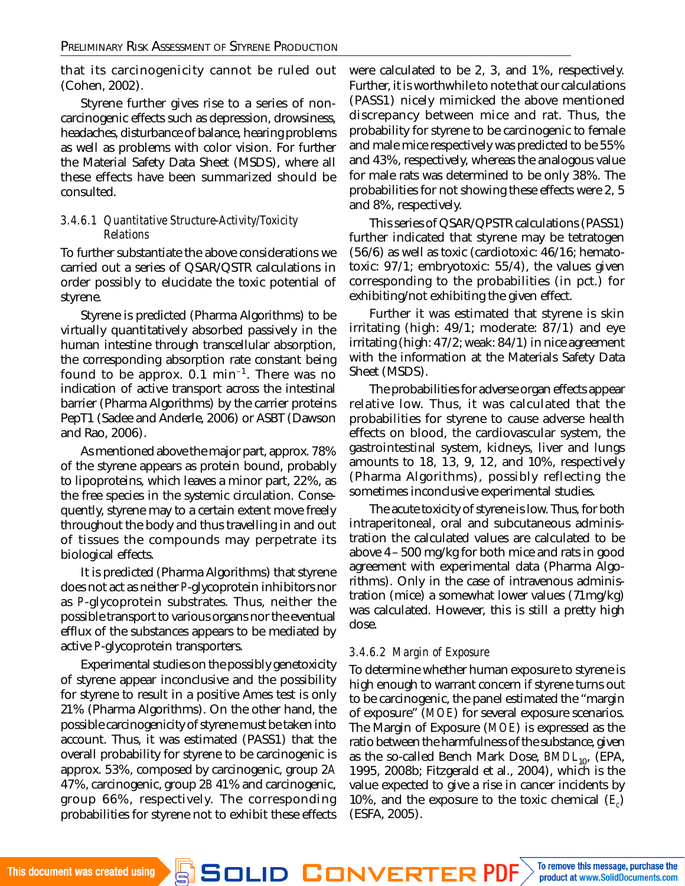that its carcinogenicity cannot be ruled out (Cohen, 2002).

Styrene further gives rise to a series of noncarcinogenic effects such as depression, drowsiness, headaches, disturbance of balance, hearing problems as well as problems with color vision. For further the Material Safety Data Sheet (MSDS), where all these effects have been summarized should be consulted.

#### *3.4.6.1 Quantitative Structure-Activity/Toxicity Relations*

To further substantiate the above considerations we carried out a series of QSAR/QSTR calculations in order possibly to elucidate the toxic potential of styrene.

Styrene is predicted (Pharma Algorithms) to be virtually quantitatively absorbed passively in the human intestine through transcellular absorption, the corresponding absorption rate constant being found to be approx.  $0.1$  min<sup>-1</sup>. There was no indication of active transport across the intestinal barrier (Pharma Algorithms) by the carrier proteins PepT1 (Sadee and Anderle, 2006) or ASBT (Dawson and Rao, 2006).

As mentioned above the major part, approx. 78% of the styrene appears as protein bound, probably to lipoproteins, which leaves a minor part, 22%, as the free species in the systemic circulation. Consequently, styrene may to a certain extent move freely throughout the body and thus travelling in and out of tissues the compounds may perpetrate its biological effects.

It is predicted (Pharma Algorithms) that styrene does not act as neither *P*-glycoprotein inhibitors nor as *P*-glycoprotein substrates. Thus, neither the possible transport to various organs nor the eventual efflux of the substances appears to be mediated by active *P*-glycoprotein transporters.

Experimental studies on the possibly genetoxicity of styrene appear inconclusive and the possibility for styrene to result in a positive Ames test is only 21% (Pharma Algorithms). On the other hand, the possible carcinogenicity of styrene must be taken into account. Thus, it was estimated (PASS1) that the overall probability for styrene to be carcinogenic is approx. 53%, composed by carcinogenic, group 2*A* 47%, carcinogenic, group 2*B* 41% and carcinogenic, group 66%, respectively. The corresponding probabilities for styrene not to exhibit these effects were calculated to be 2, 3, and 1%, respectively. Further, it is worthwhile to note that our calculations (PASS1) nicely mimicked the above mentioned discrepancy between mice and rat. Thus, the probability for styrene to be carcinogenic to female and male mice respectively was predicted to be 55% and 43%, respectively, whereas the analogous value for male rats was determined to be only 38%. The probabilities for not showing these effects were 2, 5 and 8%, respectively.

This series of QSAR/QPSTR calculations (PASS1) further indicated that styrene may be tetratogen (56/6) as well as toxic (cardiotoxic: 46/16; hematotoxic: 97/1; embryotoxic: 55/4), the values given corresponding to the probabilities (in pct.) for exhibiting/not exhibiting the given effect.

Further it was estimated that styrene is skin irritating (high: 49/1; moderate: 87/1) and eye irritating (high: 47/2; weak: 84/1) in nice agreement with the information at the Materials Safety Data Sheet (MSDS).

The probabilities for adverse organ effects appear relative low. Thus, it was calculated that the probabilities for styrene to cause adverse health effects on blood, the cardiovascular system, the gastrointestinal system, kidneys, liver and lungs amounts to 18, 13, 9, 12, and 10%, respectively (Pharma Algorithms), possibly reflecting the sometimes inconclusive experimental studies.

The acute toxicity of styrene is low. Thus, for both intraperitoneal, oral and subcutaneous administration the calculated values are calculated to be above 4–500 mg/kg for both mice and rats in good agreement with experimental data (Pharma Algorithms). Only in the case of intravenous administration (mice) a somewhat lower values (71mg/kg) was calculated. However, this is still a pretty high dose.

### *3.4.6.2 Margin of Exposure*

To determine whether human exposure to styrene is high enough to warrant concern if styrene turns out to be carcinogenic, the panel estimated the "margin of exposure" (*MOE*) for several exposure scenarios. The Margin of Exposure (*MOE*) is expressed as the ratio between the harmfulness of the substance, given as the so-called Bench Mark Dose, BMDL<sub>10</sub>, (EPA, 1995, 2008b; Fitzgerald et al., 2004), which is the value expected to give a rise in cancer incidents by 10%, and the exposure to the toxic chemical (*E<sup>c</sup>* ) (ESFA, 2005).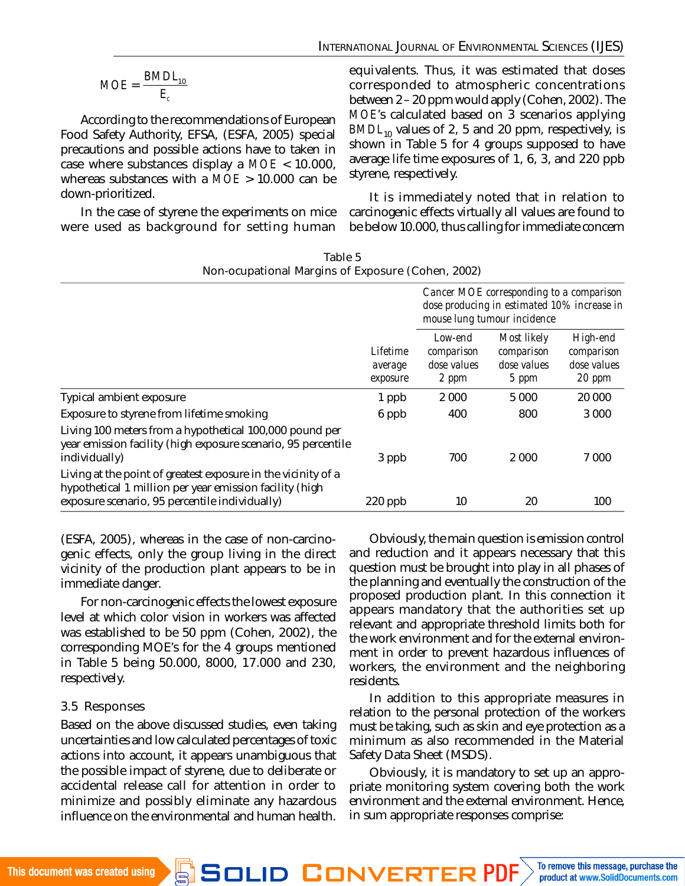$$
MOE = \frac{BMDL_{10}}{E_c}
$$

According to the recommendations of European Food Safety Authority, EFSA, (ESFA, 2005) special precautions and possible actions have to taken in case where substances display a *MOE* < 10.000, whereas substances with a *MOE* > 10.000 can be down-prioritized.

In the case of styrene the experiments on mice were used as background for setting human equivalents. Thus, it was estimated that doses corresponded to atmospheric concentrations between 2–20 ppm would apply (Cohen, 2002). The *MOE*'s calculated based on 3 scenarios applying *BMDL*<sub>10</sub> values of 2, 5 and 20 ppm, respectively, is shown in Table 5 for 4 groups supposed to have average life time exposures of 1, 6, 3, and 220 ppb styrene, respectively.

It is immediately noted that in relation to carcinogenic effects virtually all values are found to be below 10.000, thus calling for immediate concern

| Non-ocupational Margins of Exposure (Cohen, 2002)                                                                                                                          |                                 |                                                                                                                        |                                                   |                                                 |
|----------------------------------------------------------------------------------------------------------------------------------------------------------------------------|---------------------------------|------------------------------------------------------------------------------------------------------------------------|---------------------------------------------------|-------------------------------------------------|
|                                                                                                                                                                            |                                 | Cancer MOE corresponding to a comparison<br>dose producing in estimated 10% increase in<br>mouse lung tumour incidence |                                                   |                                                 |
|                                                                                                                                                                            | Lifetime<br>average<br>exposure | Low-end<br>comparison<br>dose values<br>2 ppm                                                                          | Most likely<br>comparison<br>dose values<br>5 ppm | High-end<br>comparison<br>dose values<br>20 ppm |
| Typical ambient exposure                                                                                                                                                   | 1 ppb                           | 2 0 0 0                                                                                                                | 5 0 0 0                                           | 20 000                                          |
| Exposure to styrene from lifetime smoking                                                                                                                                  | 6 ppb                           | 400                                                                                                                    | 800                                               | 3 0 0 0                                         |
| Living 100 meters from a hypothetical 100,000 pound per<br>year emission facility (high exposure scenario, 95 percentile<br>individually)                                  | 3 ppb                           | 700                                                                                                                    | 2 0 0 0                                           | 7 000                                           |
| Living at the point of greatest exposure in the vicinity of a<br>hypothetical 1 million per year emission facility (high<br>exposure scenario, 95 percentile individually) | 220 ppb                         | 10                                                                                                                     | 20                                                | 100                                             |

Table 5

(ESFA, 2005), whereas in the case of non-carcinogenic effects, only the group living in the direct vicinity of the production plant appears to be in immediate danger.

For non-carcinogenic effects the lowest exposure level at which color vision in workers was affected was established to be 50 ppm (Cohen, 2002), the corresponding MOE's for the 4 groups mentioned in Table 5 being 50.000, 8000, 17.000 and 230, respectively.

### 3.5 Responses

Based on the above discussed studies, even taking uncertainties and low calculated percentages of toxic actions into account, it appears unambiguous that the possible impact of styrene, due to deliberate or accidental release call for attention in order to minimize and possibly eliminate any hazardous influence on the environmental and human health.

Obviously, the main question is emission control and reduction and it appears necessary that this question must be brought into play in all phases of the planning and eventually the construction of the proposed production plant. In this connection it appears mandatory that the authorities set up relevant and appropriate threshold limits both for the work environment and for the external environment in order to prevent hazardous influences of workers, the environment and the neighboring residents.

In addition to this appropriate measures in relation to the personal protection of the workers must be taking, such as skin and eye protection as a minimum as also recommended in the Material Safety Data Sheet (MSDS).

Obviously, it is mandatory to set up an appropriate monitoring system covering both the work environment and the external environment. Hence, in sum appropriate responses comprise: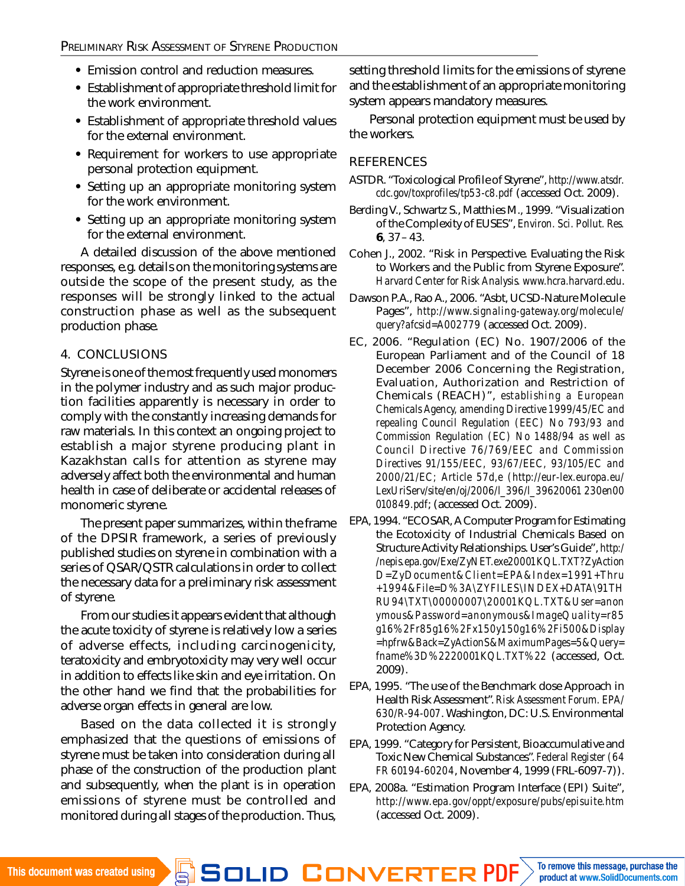- **•** Emission control and reduction measures.
- **•** Establishment of appropriate threshold limit for the work environment.
- **•** Establishment of appropriate threshold values for the external environment.
- **•** Requirement for workers to use appropriate personal protection equipment.
- **•** Setting up an appropriate monitoring system for the work environment.
- **•** Setting up an appropriate monitoring system for the external environment.

A detailed discussion of the above mentioned responses, e.g. details on the monitoring systems are outside the scope of the present study, as the responses will be strongly linked to the actual construction phase as well as the subsequent production phase.

#### 4. CONCLUSIONS

Styrene is one of the most frequently used monomers in the polymer industry and as such major production facilities apparently is necessary in order to comply with the constantly increasing demands for raw materials. In this context an ongoing project to establish a major styrene producing plant in Kazakhstan calls for attention as styrene may adversely affect both the environmental and human health in case of deliberate or accidental releases of monomeric styrene.

The present paper summarizes, within the frame of the DPSIR framework, a series of previously published studies on styrene in combination with a series of QSAR/QSTR calculations in order to collect the necessary data for a preliminary risk assessment of styrene.

From our studies it appears evident that although the acute toxicity of styrene is relatively low a series of adverse effects, including carcinogenicity, teratoxicity and embryotoxicity may very well occur in addition to effects like skin and eye irritation. On the other hand we find that the probabilities for adverse organ effects in general are low.

Based on the data collected it is strongly emphasized that the questions of emissions of styrene must be taken into consideration during all phase of the construction of the production plant and subsequently, when the plant is in operation emissions of styrene must be controlled and monitored during all stages of the production. Thus, setting threshold limits for the emissions of styrene and the establishment of an appropriate monitoring system appears mandatory measures.

Personal protection equipment must be used by the workers.

#### **REFERENCES**

- ASTDR. "Toxicological Profile of Styrene", *<http://www.atsdr>. cdc.gov/toxprofiles/tp53-c8.pdf* (accessed Oct. 2009).
- Berding V., Schwartz S., Matthies M., 1999. "Visualization of the Complexity of EUSES", *Environ. Sci. Pollut. Res.* **6**, 37–43.
- Cohen J., 2002. "Risk in Perspective. Evaluating the Risk to Workers and the Public from Styrene Exposure". *Harvard Center for Risk Analysis.<www.hcra.harvard.edu>*.
- Dawson P.A., Rao A., 2006. "Asbt, UCSD-Nature Molecule Pages", *http://www.signaling-gateway.org/molecule/ query?afcsid=A002779* (accessed Oct. 2009).
- EC, 2006. "Regulation (EC) No. 1907/2006 of the European Parliament and of the Council of 18 December 2006 Concerning the Registration, Evaluation, Authorization and Restriction of Chemicals (REACH)", *establishing a European Chemicals Agency, amending Directive 1999/45/EC and repealing Council Regulation (EEC) No 793/93 and Commission Regulation (EC) No 1488/94 as well as Council Directive 76/769/EEC and Commission Directives 91/155/EEC, 93/67/EEC, 93/105/EC and 2000/21/EC; Article 57d,e [\(http://eur-lex.europa.eu/](http://eur-lex.europa.eu/) LexUriServ/site/en/oj/2006/l\_396/l\_39620061 230en00 010849.pdf*; (accessed Oct. 2009).
- EPA, 1994. "ECOSAR, A Computer Program for Estimating the Ecotoxicity of Industrial Chemicals Based on Structure Activity Relationships. User's Guide", *http:/ /nepis.epa.gov/Exe/ZyNET.exe20001KQL.TXT?ZyAction D=ZyDocument&Client=EPA&Index=1991+Thru +1994&File=D%3A\ZYFILES\INDEX+DATA\91TH RU94\TXT\00000007\20001KQL.TXT&User=anon ymous&Password=anonymous&ImageQuality=r85 g16%2Fr85g16%2Fx150y150g16%2Fi500&Display =hpfrw&Back=ZyActionS&MaximumPages=5&Query= fname%3D%2220001KQL.TXT%22* (accessed, Oct. 2009).
- EPA, 1995. "The use of the Benchmark dose Approach in Health Risk Assessment". *Risk Assessment Forum. EPA/ 630/R-94-007*. Washington, DC: U.S. Environmental Protection Agency.
- EPA, 1999. "Category for Persistent, Bioaccumulative and Toxic New Chemical Substances". *Federal Register (64 FR 60194-60204*, November 4, 1999 (FRL-6097-7)).
- EPA, 2008a. "Estimation Program Interface (EPI) Suite", *http://www.epa.gov/oppt/exposure/pubs/episuite.htm* (accessed Oct. 2009).